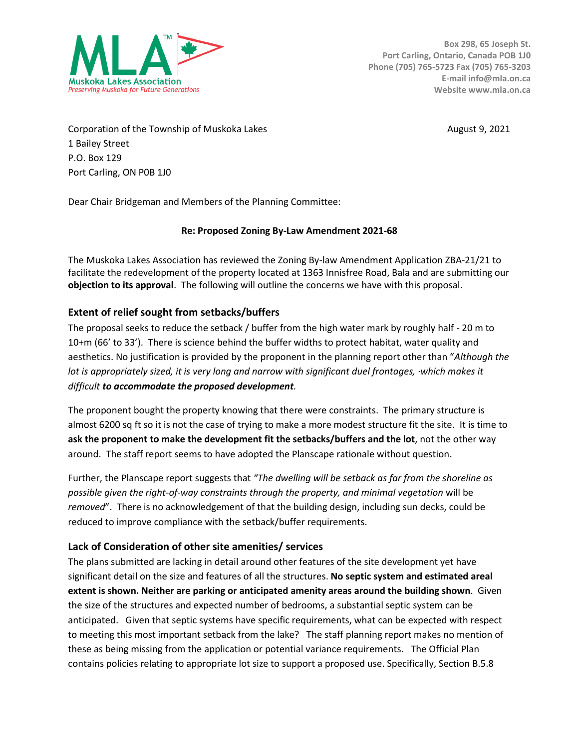

Corporation of the Township of Muskoka Lakes August 9, 2021 1 Bailey Street P.O. Box 129 Port Carling, ON P0B 1J0

Dear Chair Bridgeman and Members of the Planning Committee:

### **Re: Proposed Zoning By-Law Amendment 2021-68**

The Muskoka Lakes Association has reviewed the Zoning By-law Amendment Application ZBA-21/21 to facilitate the redevelopment of the property located at 1363 Innisfree Road, Bala and are submitting our **objection to its approval**. The following will outline the concerns we have with this proposal.

# **Extent of relief sought from setbacks/buffers**

The proposal seeks to reduce the setback / buffer from the high water mark by roughly half - 20 m to 10+m (66' to 33'). There is science behind the buffer widths to protect habitat, water quality and aesthetics. No justification is provided by the proponent in the planning report other than "*Although the lot is appropriately sized, it is very long and narrow with significant duel frontages, ·which makes it difficult to accommodate the proposed development.* 

The proponent bought the property knowing that there were constraints. The primary structure is almost 6200 sq ft so it is not the case of trying to make a more modest structure fit the site. It is time to **ask the proponent to make the development fit the setbacks/buffers and the lot**, not the other way around. The staff report seems to have adopted the Planscape rationale without question.

Further, the Planscape report suggests that *"The dwelling will be setback as far from the shoreline as possible given the right-of-way constraints through the property, and minimal vegetation* will be *removed*". There is no acknowledgement of that the building design, including sun decks, could be reduced to improve compliance with the setback/buffer requirements.

### **Lack of Consideration of other site amenities/ services**

The plans submitted are lacking in detail around other features of the site development yet have significant detail on the size and features of all the structures. **No septic system and estimated areal extent is shown. Neither are parking or anticipated amenity areas around the building shown**. Given the size of the structures and expected number of bedrooms, a substantial septic system can be anticipated. Given that septic systems have specific requirements, what can be expected with respect to meeting this most important setback from the lake? The staff planning report makes no mention of these as being missing from the application or potential variance requirements. The Official Plan contains policies relating to appropriate lot size to support a proposed use. Specifically, Section B.5.8